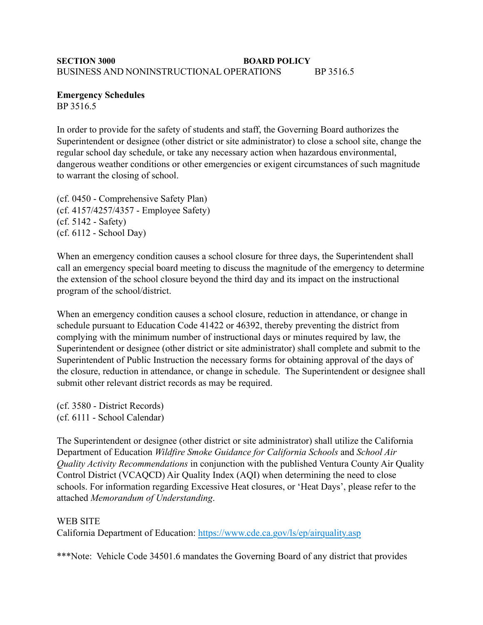## **SECTION 3000 BOARD POLICY** BUSINESS AND NONINSTRUCTIONAL OPERATIONS BP 3516.5

**Emergency Schedules** BP 3516.5

In order to provide for the safety of students and staff, the Governing Board authorizes the Superintendent or designee (other district or site administrator) to close a school site, change the regular school day schedule, or take any necessary action when hazardous environmental, dangerous weather conditions or other emergencies or exigent circumstances of such magnitude to warrant the closing of school.

(cf. 0450 - Comprehensive Safety Plan) (cf. 4157/4257/4357 - Employee Safety) (cf. 5142 - Safety) (cf. 6112 - School Day)

When an emergency condition causes a school closure for three days, the Superintendent shall call an emergency special board meeting to discuss the magnitude of the emergency to determine the extension of the school closure beyond the third day and its impact on the instructional program of the school/district.

When an emergency condition causes a school closure, reduction in attendance, or change in schedule pursuant to Education Code 41422 or 46392, thereby preventing the district from complying with the minimum number of instructional days or minutes required by law, the Superintendent or designee (other district or site administrator) shall complete and submit to the Superintendent of Public Instruction the necessary forms for obtaining approval of the days of the closure, reduction in attendance, or change in schedule. The Superintendent or designee shall submit other relevant district records as may be required.

(cf. 3580 - District Records) (cf. 6111 - School Calendar)

The Superintendent or designee (other district or site administrator) shall utilize the California Department of Education *Wildfire Smoke Guidance for California Schools* and *School Air Quality Activity Recommendations* in conjunction with the published Ventura County Air Quality Control District (VCAQCD) Air Quality Index (AQI) when determining the need to close schools. For information regarding Excessive Heat closures, or 'Heat Days', please refer to the attached *Memorandum of Understanding*.

## WEB SITE

California Department of Education: [https://www.cde.ca.gov/ls/ep/airquality.asp](%22)

\*\*\*Note: Vehicle Code 34501.6 mandates the Governing Board of any district that provides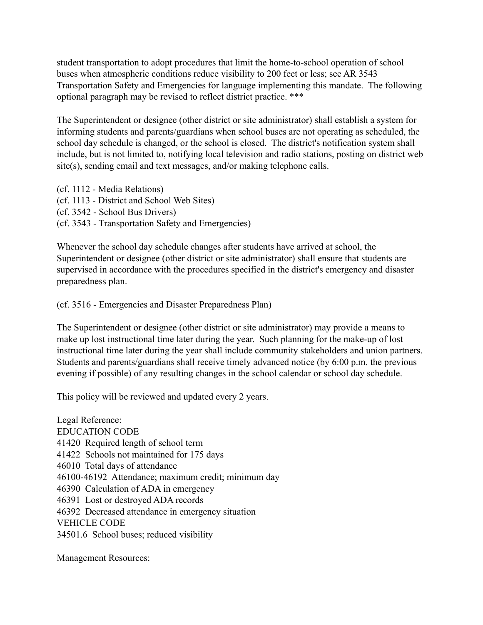student transportation to adopt procedures that limit the home-to-school operation of school buses when atmospheric conditions reduce visibility to 200 feet or less; see AR 3543 Transportation Safety and Emergencies for language implementing this mandate. The following optional paragraph may be revised to reflect district practice. \*\*\*

The Superintendent or designee (other district or site administrator) shall establish a system for informing students and parents/guardians when school buses are not operating as scheduled, the school day schedule is changed, or the school is closed. The district's notification system shall include, but is not limited to, notifying local television and radio stations, posting on district web site(s), sending email and text messages, and/or making telephone calls.

(cf. 1112 - Media Relations) (cf. 1113 - District and School Web Sites) (cf. 3542 - School Bus Drivers) (cf. 3543 - Transportation Safety and Emergencies)

Whenever the school day schedule changes after students have arrived at school, the Superintendent or designee (other district or site administrator) shall ensure that students are supervised in accordance with the procedures specified in the district's emergency and disaster preparedness plan.

(cf. 3516 - Emergencies and Disaster Preparedness Plan)

The Superintendent or designee (other district or site administrator) may provide a means to make up lost instructional time later during the year. Such planning for the make-up of lost instructional time later during the year shall include community stakeholders and union partners. Students and parents/guardians shall receive timely advanced notice (by 6:00 p.m. the previous evening if possible) of any resulting changes in the school calendar or school day schedule.

This policy will be reviewed and updated every 2 years.

Legal Reference: EDUCATION CODE 41420 Required length of school term 41422 Schools not maintained for 175 days 46010 Total days of attendance 46100-46192 Attendance; maximum credit; minimum day 46390 Calculation of ADA in emergency 46391 Lost or destroyed ADA records 46392 Decreased attendance in emergency situation VEHICLE CODE 34501.6 School buses; reduced visibility

Management Resources: